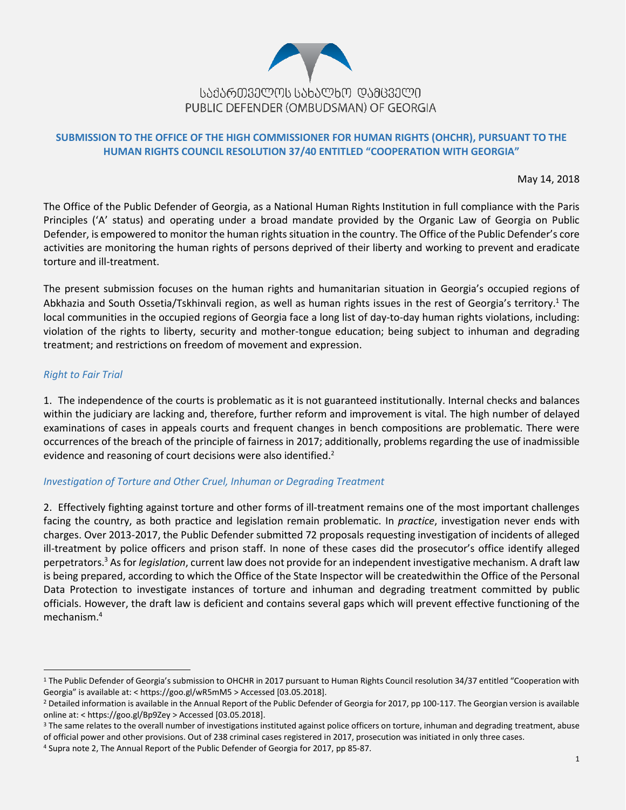

## **SUBMISSION TO THE OFFICE OF THE HIGH COMMISSIONER FOR HUMAN RIGHTS (OHCHR), PURSUANT TO THE HUMAN RIGHTS COUNCIL RESOLUTION 37/40 ENTITLED "COOPERATION WITH GEORGIA"**

May 14, 2018

The Office of the Public Defender of Georgia, as a National Human Rights Institution in full compliance with the Paris Principles ('A' status) and operating under a broad mandate provided by the Organic Law of Georgia on Public Defender, is empowered to monitor the human rights situation in the country. The Office of the Public Defender's core activities are monitoring the human rights of persons deprived of their liberty and working to prevent and eradicate torture and ill-treatment.

The present submission focuses on the human rights and humanitarian situation in Georgia's occupied regions of Abkhazia and South Ossetia/Tskhinvali region, as well as human rights issues in the rest of Georgia's territory.<sup>1</sup> The local communities in the occupied regions of Georgia face a long list of day-to-day human rights violations, including: violation of the rights to liberty, security and mother-tongue education; being subject to inhuman and degrading treatment; and restrictions on freedom of movement and expression.

## *Right to Fair Trial*

 $\overline{a}$ 

1. The independence of the courts is problematic as it is not guaranteed institutionally. Internal checks and balances within the judiciary are lacking and, therefore, further reform and improvement is vital. The high number of delayed examinations of cases in appeals courts and frequent changes in bench compositions are problematic. There were occurrences of the breach of the principle of fairness in 2017; additionally, problems regarding the use of inadmissible evidence and reasoning of court decisions were also identified.<sup>2</sup>

#### *Investigation of Torture and Other Cruel, Inhuman or Degrading Treatment*

2. Effectively fighting against torture and other forms of ill-treatment remains one of the most important challenges facing the country, as both practice and legislation remain problematic. In *practice*, investigation never ends with charges. Over 2013-2017, the Public Defender submitted 72 proposals requesting investigation of incidents of alleged ill-treatment by police officers and prison staff. In none of these cases did the prosecutor's office identify alleged perpetrators.<sup>3</sup> As for *legislation*, current law does not provide for an independent investigative mechanism. A draft law is being prepared, according to which the Office of the State Inspector will be createdwithin the Office of the Personal Data Protection to investigate instances of torture and inhuman and degrading treatment committed by public officials. However, the draft law is deficient and contains several gaps which will prevent effective functioning of the mechanism.<sup>4</sup>

<sup>&</sup>lt;sup>1</sup> The Public Defender of Georgia's submission to OHCHR in 2017 pursuant to Human Rights Council resolution 34/37 entitled "Cooperation with Georgia" is available at: < https://goo.gl/wR5mM5 > Accessed [03.05.2018].

<sup>&</sup>lt;sup>2</sup> Detailed information is available in the Annual Report of the Public Defender of Georgia for 2017, pp 100-117. The Georgian version is available online at: [< https://goo.gl/Bp9Zey](https://goo.gl/Bp9Zey) > Accessed [03.05.2018].

<sup>&</sup>lt;sup>3</sup> The same relates to the overall number of investigations instituted against police officers on torture, inhuman and degrading treatment, abuse of official power and other provisions. Out of 238 criminal cases registered in 2017, prosecution was initiated in only three cases.

<sup>4</sup> Supra note 2, The Annual Report of the Public Defender of Georgia for 2017, pp 85-87.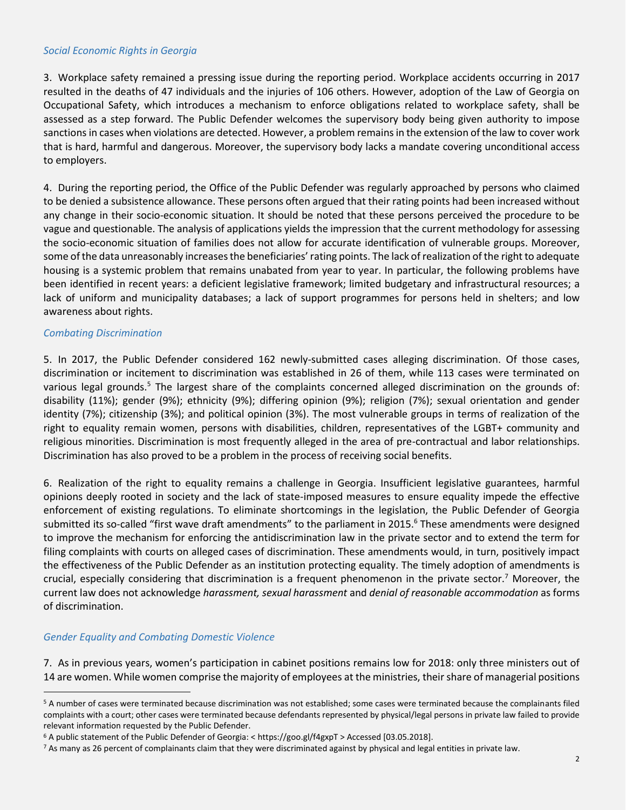#### *Social Economic Rights in Georgia*

3. Workplace safety remained a pressing issue during the reporting period. Workplace accidents occurring in 2017 resulted in the deaths of 47 individuals and the injuries of 106 others. However, adoption of the Law of Georgia on Occupational Safety, which introduces a mechanism to enforce obligations related to workplace safety, shall be assessed as a step forward. The Public Defender welcomes the supervisory body being given authority to impose sanctions in cases when violations are detected. However, a problem remains in the extension of the law to cover work that is hard, harmful and dangerous. Moreover, the supervisory body lacks a mandate covering unconditional access to employers.

4. During the reporting period, the Office of the Public Defender was regularly approached by persons who claimed to be denied a subsistence allowance. These persons often argued that their rating points had been increased without any change in their socio-economic situation. It should be noted that these persons perceived the procedure to be vague and questionable. The analysis of applications yields the impression that the current methodology for assessing the socio-economic situation of families does not allow for accurate identification of vulnerable groups. Moreover, some of the data unreasonably increases the beneficiaries' rating points. The lack of realization of the right to adequate housing is a systemic problem that remains unabated from year to year. In particular, the following problems have been identified in recent years: a deficient legislative framework; limited budgetary and infrastructural resources; a lack of uniform and municipality databases; a lack of support programmes for persons held in shelters; and low awareness about rights.

## *Combating Discrimination*

5. In 2017, the Public Defender considered 162 newly-submitted cases alleging discrimination. Of those cases, discrimination or incitement to discrimination was established in 26 of them, while 113 cases were terminated on various legal grounds.<sup>5</sup> The largest share of the complaints concerned alleged discrimination on the grounds of: disability (11%); gender (9%); ethnicity (9%); differing opinion (9%); religion (7%); sexual orientation and gender identity (7%); citizenship (3%); and political opinion (3%). The most vulnerable groups in terms of realization of the right to equality remain women, persons with disabilities, children, representatives of the LGBT+ community and religious minorities. Discrimination is most frequently alleged in the area of pre-contractual and labor relationships. Discrimination has also proved to be a problem in the process of receiving social benefits.

6. Realization of the right to equality remains a challenge in Georgia. Insufficient legislative guarantees, harmful opinions deeply rooted in society and the lack of state-imposed measures to ensure equality impede the effective enforcement of existing regulations. To eliminate shortcomings in the legislation, the Public Defender of Georgia submitted its so-called "first wave draft amendments" to the parliament in 2015.<sup>6</sup> These amendments were designed to improve the mechanism for enforcing the antidiscrimination law in the private sector and to extend the term for filing complaints with courts on alleged cases of discrimination. These amendments would, in turn, positively impact the effectiveness of the Public Defender as an institution protecting equality. The timely adoption of amendments is crucial, especially considering that discrimination is a frequent phenomenon in the private sector.<sup>7</sup> Moreover, the current law does not acknowledge *harassment, sexual harassment* and *denial of reasonable accommodation* as forms of discrimination.

## *Gender Equality and Combating Domestic Violence*

 $\overline{a}$ 

7. As in previous years, women's participation in cabinet positions remains low for 2018: only three ministers out of 14 are women. While women comprise the majority of employees at the ministries, their share of managerial positions

<sup>&</sup>lt;sup>5</sup> A number of cases were terminated because discrimination was not established; some cases were terminated because the complainants filed complaints with a court; other cases were terminated because defendants represented by physical/legal persons in private law failed to provide relevant information requested by the Public Defender.

<sup>6</sup> A public statement of the Public Defender of Georgia: < https://goo.gl/f4gxpT > Accessed [03.05.2018].

 $^7$  As many as 26 percent of complainants claim that they were discriminated against by physical and legal entities in private law.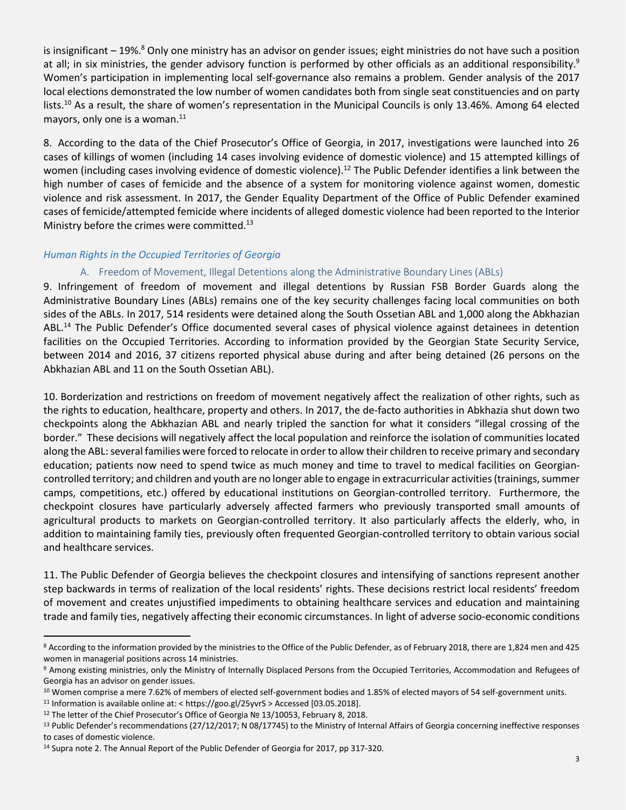is insignificant – 19%.<sup>8</sup> Only one ministry has an advisor on gender issues; eight ministries do not have such a position at all; in six ministries, the gender advisory function is performed by other officials as an additional responsibility.<sup>9</sup> Women's participation in implementing local self-governance also remains a problem. Gender analysis of the 2017 local elections demonstrated the low number of women candidates both from single seat constituencies and on party lists.<sup>10</sup> As a result, the share of women's representation in the Municipal Councils is only 13.46%. Among 64 elected mayors, only one is a woman. $^{11}$ 

8. According to the data of the Chief Prosecutor's Office of Georgia, in 2017, investigations were launched into 26 cases of killings of women (including 14 cases involving evidence of domestic violence) and 15 attempted killings of women (including cases involving evidence of domestic violence).<sup>12</sup> The Public Defender identifies a link between the high number of cases of femicide and the absence of a system for monitoring violence against women, domestic violence and risk assessment. In 2017, the Gender Equality Department of the Office of Public Defender examined cases of femicide/attempted femicide where incidents of alleged domestic violence had been reported to the Interior Ministry before the crimes were committed.<sup>13</sup>

#### *Human Rights in the Occupied Territories of Georgia*

## A. Freedom of Movement, Illegal Detentions along the Administrative Boundary Lines (ABLs)

9. Infringement of freedom of movement and illegal detentions by Russian FSB Border Guards along the Administrative Boundary Lines (ABLs) remains one of the key security challenges facing local communities on both sides of the ABLs. In 2017, 514 residents were detained along the South Ossetian ABL and 1,000 along the Abkhazian ABL.<sup>14</sup> The Public Defender's Office documented several cases of physical violence against detainees in detention facilities on the Occupied Territories. According to information provided by the Georgian State Security Service, between 2014 and 2016, 37 citizens reported physical abuse during and after being detained (26 persons on the Abkhazian ABL and 11 on the South Ossetian ABL).

10. Borderization and restrictions on freedom of movement negatively affect the realization of other rights, such as the rights to education, healthcare, property and others. In 2017, the de-facto authorities in Abkhazia shut down two checkpoints along the Abkhazian ABL and nearly tripled the sanction for what it considers "illegal crossing of the border." These decisions will negatively affect the local population and reinforce the isolation of communities located along the ABL: several families were forced to relocate in order to allow their children to receive primary and secondary education; patients now need to spend twice as much money and time to travel to medical facilities on Georgiancontrolled territory; and children and youth are no longer able to engage in extracurricular activities (trainings, summer camps, competitions, etc.) offered by educational institutions on Georgian-controlled territory. Furthermore, the checkpoint closures have particularly adversely affected farmers who previously transported small amounts of agricultural products to markets on Georgian-controlled territory. It also particularly affects the elderly, who, in addition to maintaining family ties, previously often frequented Georgian-controlled territory to obtain various social and healthcare services.

11. The Public Defender of Georgia believes the checkpoint closures and intensifying of sanctions represent another step backwards in terms of realization of the local residents' rights. These decisions restrict local residents' freedom of movement and creates unjustified impediments to obtaining healthcare services and education and maintaining trade and family ties, negatively affecting their economic circumstances. In light of adverse socio-economic conditions

 $\overline{a}$ 

<sup>&</sup>lt;sup>8</sup> According to the information provided by the ministries to the Office of the Public Defender, as of February 2018, there are 1,824 men and 425 women in managerial positions across 14 ministries.

<sup>9</sup> Among existing ministries, only the Ministry of Internally Displaced Persons from the Occupied Territories, Accommodation and Refugees of Georgia has an advisor on gender issues.

<sup>&</sup>lt;sup>10</sup> Women comprise a mere 7.62% of members of elected self-government bodies and 1.85% of elected mayors of 54 self-government units.

<sup>&</sup>lt;sup>11</sup> Information is available online at: [< https://goo.gl/25yvrS](https://goo.gl/25yvrS) > Accessed [03.05.2018].

<sup>12</sup> The letter of the Chief Prosecutor's Office of Georgia № 13/10053, February 8, 2018.

<sup>&</sup>lt;sup>13</sup> Public Defender's recommendations (27/12/2017; N 08/17745) to the Ministry of Internal Affairs of Georgia concerning ineffective responses to cases of domestic violence.

<sup>&</sup>lt;sup>14</sup> Supra note 2. The Annual Report of the Public Defender of Georgia for 2017, pp 317-320.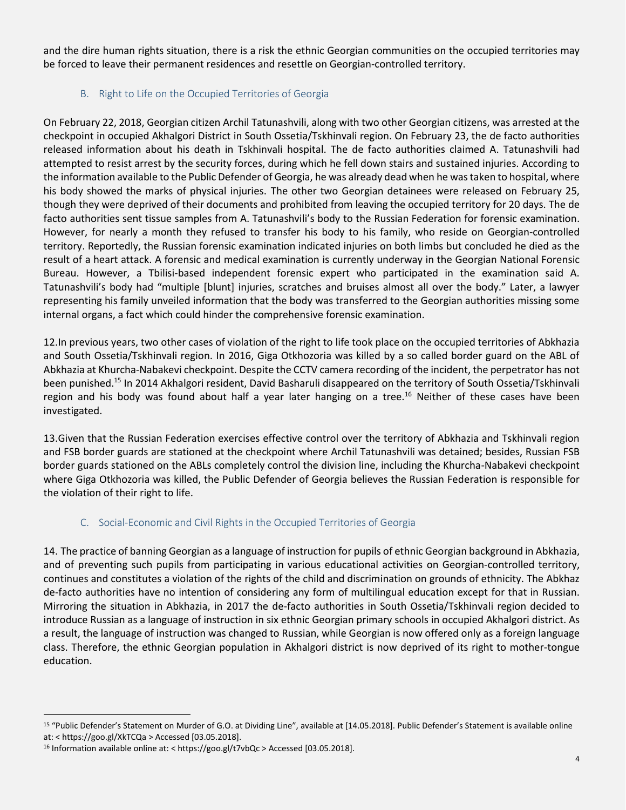and the dire human rights situation, there is a risk the ethnic Georgian communities on the occupied territories may be forced to leave their permanent residences and resettle on Georgian-controlled territory.

# B. Right to Life on the Occupied Territories of Georgia

On February 22, 2018, Georgian citizen Archil Tatunashvili, along with two other Georgian citizens, was arrested at the checkpoint in occupied Akhalgori District in South Ossetia/Tskhinvali region. On February 23, the de facto authorities released information about his death in Tskhinvali hospital. The de facto authorities claimed A. Tatunashvili had attempted to resist arrest by the security forces, during which he fell down stairs and sustained injuries. According to the information available to the Public Defender of Georgia, he was already dead when he was taken to hospital, where his body showed the marks of physical injuries. The other two Georgian detainees were released on February 25, though they were deprived of their documents and prohibited from leaving the occupied territory for 20 days. The de facto authorities sent tissue samples from A. Tatunashvili's body to the Russian Federation for forensic examination. However, for nearly a month they refused to transfer his body to his family, who reside on Georgian-controlled territory. Reportedly, the Russian forensic examination indicated injuries on both limbs but concluded he died as the result of a heart attack. A forensic and medical examination is currently underway in the Georgian National Forensic Bureau. However, a Tbilisi-based independent forensic expert who participated in the examination said A. Tatunashvili's body had "multiple [blunt] injuries, scratches and bruises almost all over the body." Later, a lawyer representing his family unveiled information that the body was transferred to the Georgian authorities missing some internal organs, a fact which could hinder the comprehensive forensic examination.

12.In previous years, two other cases of violation of the right to life took place on the occupied territories of Abkhazia and South Ossetia/Tskhinvali region. In 2016, Giga Otkhozoria was killed by a so called border guard on the ABL of Abkhazia at Khurcha-Nabakevi checkpoint. Despite the CCTV camera recording of the incident, the perpetrator has not been punished.<sup>15</sup> In 2014 Akhalgori resident, David Basharuli disappeared on the territory of South Ossetia/Tskhinvali region and his body was found about half a year later hanging on a tree.<sup>16</sup> Neither of these cases have been investigated.

13.Given that the Russian Federation exercises effective control over the territory of Abkhazia and Tskhinvali region and FSB border guards are stationed at the checkpoint where Archil Tatunashvili was detained; besides, Russian FSB border guards stationed on the ABLs completely control the division line, including the Khurcha-Nabakevi checkpoint where Giga Otkhozoria was killed, the Public Defender of Georgia believes the Russian Federation is responsible for the violation of their right to life.

# C. Social-Economic and Civil Rights in the Occupied Territories of Georgia

14. The practice of banning Georgian as a language of instruction for pupils of ethnic Georgian background in Abkhazia, and of preventing such pupils from participating in various educational activities on Georgian-controlled territory, continues and constitutes a violation of the rights of the child and discrimination on grounds of ethnicity. The Abkhaz de-facto authorities have no intention of considering any form of multilingual education except for that in Russian. Mirroring the situation in Abkhazia, in 2017 the de-facto authorities in South Ossetia/Tskhinvali region decided to introduce Russian as a language of instruction in six ethnic Georgian primary schools in occupied Akhalgori district. As a result, the language of instruction was changed to Russian, while Georgian is now offered only as a foreign language class. Therefore, the ethnic Georgian population in Akhalgori district is now deprived of its right to mother-tongue education.

 $\overline{a}$ <sup>15</sup> "Public Defender's Statement on Murder of G.O. at Dividing Line", available at [14.05.2018]. Public Defender's Statement is available online at: < https://goo.gl/XkTCQa > Accessed [03.05.2018].

<sup>16</sup> Information available online at: < https://goo.gl/t7vbQc > Accessed [03.05.2018].